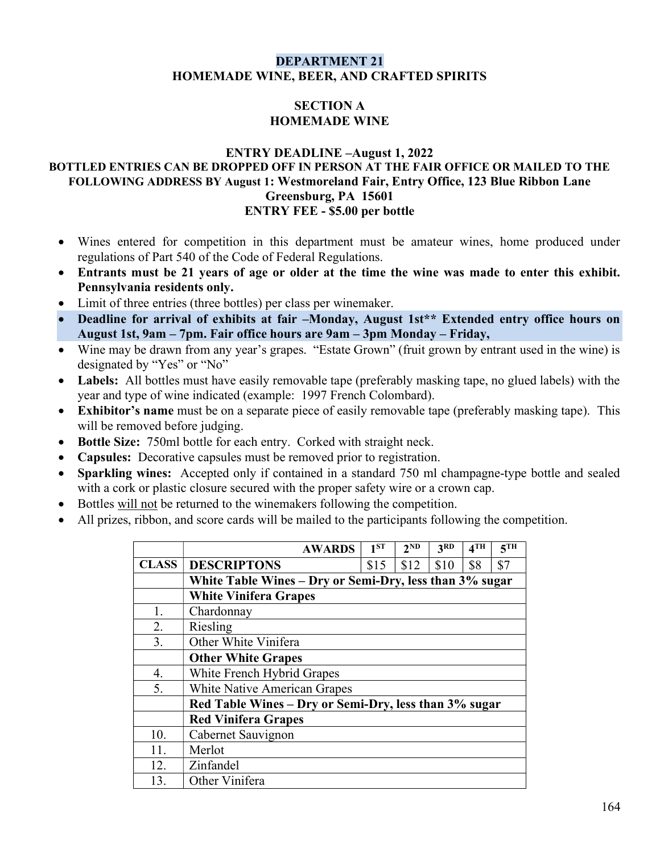#### DEPARTMENT 21 HOMEMADE WINE, BEER, AND CRAFTED SPIRITS

## SECTION A HOMEMADE WINE

#### ENTRY DEADLINE –August 1, 2022 BOTTLED ENTRIES CAN BE DROPPED OFF IN PERSON AT THE FAIR OFFICE OR MAILED TO THE FOLLOWING ADDRESS BY August 1: Westmoreland Fair, Entry Office, 123 Blue Ribbon Lane Greensburg, PA 15601 ENTRY FEE - \$5.00 per bottle

- Wines entered for competition in this department must be amateur wines, home produced under regulations of Part 540 of the Code of Federal Regulations.
- Entrants must be 21 years of age or older at the time the wine was made to enter this exhibit. Pennsylvania residents only.
- Limit of three entries (three bottles) per class per winemaker.
- Deadline for arrival of exhibits at fair -Monday, August 1st\*\* Extended entry office hours on August 1st, 9am – 7pm. Fair office hours are 9am – 3pm Monday – Friday,
- Wine may be drawn from any year's grapes. "Estate Grown" (fruit grown by entrant used in the wine) is designated by "Yes" or "No"
- Labels: All bottles must have easily removable tape (preferably masking tape, no glued labels) with the year and type of wine indicated (example: 1997 French Colombard).
- Exhibitor's name must be on a separate piece of easily removable tape (preferably masking tape). This will be removed before judging.
- Bottle Size: 750ml bottle for each entry. Corked with straight neck.
- Capsules: Decorative capsules must be removed prior to registration.
- Sparkling wines: Accepted only if contained in a standard 750 ml champagne-type bottle and sealed with a cork or plastic closure secured with the proper safety wire or a crown cap.
- Bottles will not be returned to the winemakers following the competition.
- All prizes, ribbon, and score cards will be mailed to the participants following the competition.

|              | <b>AWARDS</b>                                           | 1 <sub>ST</sub> | $2^{\overline{\text{ND}}}$ | 3 <sup>RD</sup> | 4 <sup>TH</sup> | 5 <sup>TH</sup> |  |  |  |  |
|--------------|---------------------------------------------------------|-----------------|----------------------------|-----------------|-----------------|-----------------|--|--|--|--|
| <b>CLASS</b> | <b>DESCRIPTONS</b>                                      | \$15            | \$12                       | \$10            | \$8             | \$7             |  |  |  |  |
|              | White Table Wines - Dry or Semi-Dry, less than 3% sugar |                 |                            |                 |                 |                 |  |  |  |  |
|              | <b>White Vinifera Grapes</b>                            |                 |                            |                 |                 |                 |  |  |  |  |
| 1.           | Chardonnay                                              |                 |                            |                 |                 |                 |  |  |  |  |
| 2.           | Riesling                                                |                 |                            |                 |                 |                 |  |  |  |  |
| 3.           | Other White Vinifera                                    |                 |                            |                 |                 |                 |  |  |  |  |
|              | <b>Other White Grapes</b>                               |                 |                            |                 |                 |                 |  |  |  |  |
| 4.           | White French Hybrid Grapes                              |                 |                            |                 |                 |                 |  |  |  |  |
| 5.           | <b>White Native American Grapes</b>                     |                 |                            |                 |                 |                 |  |  |  |  |
|              | Red Table Wines - Dry or Semi-Dry, less than 3% sugar   |                 |                            |                 |                 |                 |  |  |  |  |
|              | <b>Red Vinifera Grapes</b>                              |                 |                            |                 |                 |                 |  |  |  |  |
| 10.          | Cabernet Sauvignon                                      |                 |                            |                 |                 |                 |  |  |  |  |
| 11.          | Merlot                                                  |                 |                            |                 |                 |                 |  |  |  |  |
| 12.          | Zinfandel                                               |                 |                            |                 |                 |                 |  |  |  |  |
| 13.          | Other Vinifera                                          |                 |                            |                 |                 |                 |  |  |  |  |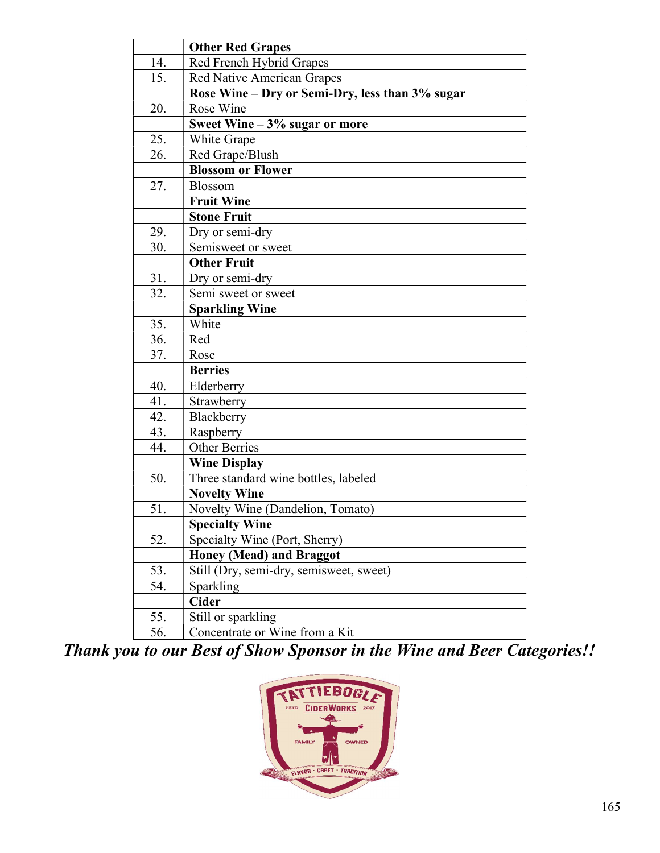|     | <b>Other Red Grapes</b>                         |  |  |  |  |  |
|-----|-------------------------------------------------|--|--|--|--|--|
| 14. | Red French Hybrid Grapes                        |  |  |  |  |  |
| 15. | <b>Red Native American Grapes</b>               |  |  |  |  |  |
|     | Rose Wine - Dry or Semi-Dry, less than 3% sugar |  |  |  |  |  |
| 20. | Rose Wine                                       |  |  |  |  |  |
|     | Sweet Wine $-3\%$ sugar or more                 |  |  |  |  |  |
| 25. | White Grape                                     |  |  |  |  |  |
| 26. | Red Grape/Blush                                 |  |  |  |  |  |
|     | <b>Blossom or Flower</b>                        |  |  |  |  |  |
| 27. | Blossom                                         |  |  |  |  |  |
|     | <b>Fruit Wine</b>                               |  |  |  |  |  |
|     | <b>Stone Fruit</b>                              |  |  |  |  |  |
| 29. | Dry or semi-dry                                 |  |  |  |  |  |
| 30. | Semisweet or sweet                              |  |  |  |  |  |
|     | <b>Other Fruit</b>                              |  |  |  |  |  |
| 31. | Dry or semi-dry                                 |  |  |  |  |  |
| 32. | Semi sweet or sweet                             |  |  |  |  |  |
|     | <b>Sparkling Wine</b>                           |  |  |  |  |  |
| 35. | White                                           |  |  |  |  |  |
| 36. | Red                                             |  |  |  |  |  |
| 37. | Rose                                            |  |  |  |  |  |
|     | <b>Berries</b>                                  |  |  |  |  |  |
| 40. | Elderberry                                      |  |  |  |  |  |
| 41. | Strawberry                                      |  |  |  |  |  |
| 42. | Blackberry                                      |  |  |  |  |  |
| 43. | Raspberry                                       |  |  |  |  |  |
| 44. | <b>Other Berries</b>                            |  |  |  |  |  |
|     | <b>Wine Display</b>                             |  |  |  |  |  |
| 50. | Three standard wine bottles, labeled            |  |  |  |  |  |
|     | <b>Novelty Wine</b>                             |  |  |  |  |  |
| 51. | Novelty Wine (Dandelion, Tomato)                |  |  |  |  |  |
|     | <b>Specialty Wine</b>                           |  |  |  |  |  |
| 52. | Specialty Wine (Port, Sherry)                   |  |  |  |  |  |
|     | <b>Honey (Mead) and Braggot</b>                 |  |  |  |  |  |
| 53. | Still (Dry, semi-dry, semisweet, sweet)         |  |  |  |  |  |
| 54. | <b>Sparkling</b>                                |  |  |  |  |  |
|     | <b>Cider</b>                                    |  |  |  |  |  |
| 55. | Still or sparkling                              |  |  |  |  |  |
| 56. | Concentrate or Wine from a Kit                  |  |  |  |  |  |

Thank you to our Best of Show Sponsor in the Wine and Beer Categories!!